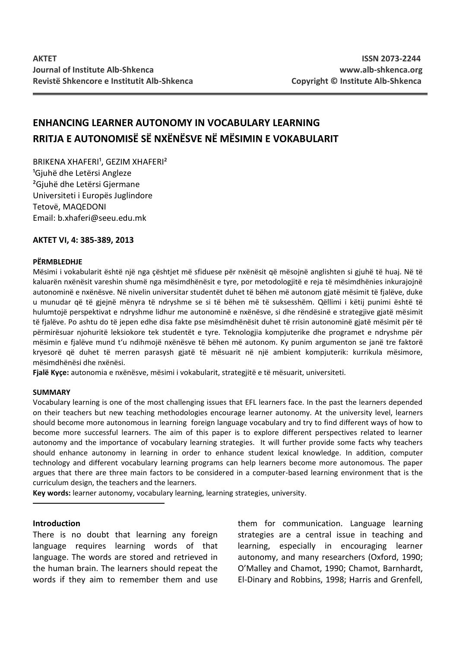# **ENHANCING LEARNER AUTONOMY IN VOCABULARY LEARNING RRITJA E AUTONOMISË SË NXËNËSVE NË MËSIMIN E VOKABULARIT**

BRIKENA XHAFERI<sup>1</sup>, GEZIM XHAFERI<sup>2</sup> <sup>1</sup>Gjuhë dhe Letërsi Angleze ²Gjuhë dhe Letërsi Gjermane Universiteti i Europës Juglindore Tetovë, MAQEDONI Email: b.xhaferi@seeu.edu.mk

### **AKTET VI, 4: 385-389, 2013**

#### **PËRMBLEDHJE**

Mësimi i vokabularit është një nga çështjet më sfiduese për nxënësit që mësojnë anglishten si gjuhë të huaj. Në të kaluarën nxënësit vareshin shumë nga mësimdhënësit e tyre, por metodologjitë e reja të mësimdhënies inkurajojnë autonominë e nxënësve. Në nivelin universitar studentët duhet të bëhen më autonom gjatë mësimit të fjalëve, duke u munudar që të gjejnë mënyra të ndryshme se si të bëhen më të suksesshëm. Qëllimi i këtij punimi është të hulumtojë perspektivat e ndryshme lidhur me autonominë e nxënësve, si dhe rëndësinë e strategjive gjatë mësimit të fjalëve. Po ashtu do të jepen edhe disa fakte pse mësimdhënësit duhet të rrisin autonominë gjatë mësimit për të përmirësuar njohuritë leksiokore tek studentët e tyre. Teknologjia kompjuterike dhe programet e ndryshme për mësimin e fjalëve mund t'u ndihmojë nxënësve të bëhen më autonom. Ky punim argumenton se janë tre faktorë kryesorë që duhet të merren parasysh gjatë të mësuarit në një ambient kompjuterik: kurrikula mësimore, mësimdhënësi dhe nxënësi.

**Fjalë Kyçe:** autonomia e nxënësve, mësimi i vokabularit, strategjitë e të mësuarit, universiteti.

#### **SUMMARY**

Vocabulary learning is one of the most challenging issues that EFL learners face. In the past the learners depended on their teachers but new teaching methodologies encourage learner autonomy. At the university level, learners should become more autonomous in learning foreign language vocabulary and try to find different ways of how to become more successful learners. The aim of this paper is to explore different perspectives related to learner autonomy and the importance of vocabulary learning strategies. It will further provide some facts why teachers should enhance autonomy in learning in order to enhance student lexical knowledge. In addition, computer technology and different vocabulary learning programs can help learners become more autonomous. The paper argues that there are three main factors to be considered in a computer-based learning environment that is the curriculum design, the teachers and the learners.

**Key words:** learner autonomy, vocabulary learning, learning strategies, university.

#### **Introduction**

There is no doubt that learning any foreign language requires learning words of that language. The words are stored and retrieved in the human brain. The learners should repeat the words if they aim to remember them and use them for communication. Language learning strategies are a central issue in teaching and learning, especially in encouraging learner autonomy, and many researchers (Oxford, 1990; O'Malley and Chamot, 1990; Chamot, Barnhardt, El-Dinary and Robbins, 1998; Harris and Grenfell,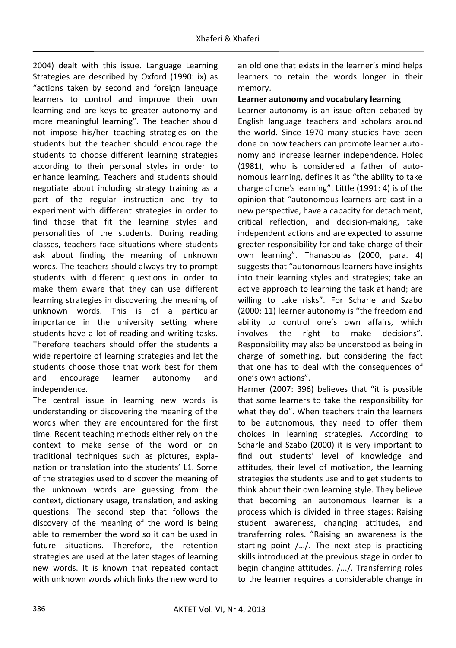2004) dealt with this issue. Language Learning Strategies are described by Oxford (1990: ix) as "actions taken by second and foreign language learners to control and improve their own learning and are keys to greater autonomy and more meaningful learning". The teacher should not impose his/her teaching strategies on the students but the teacher should encourage the students to choose different learning strategies according to their personal styles in order to enhance learning. Teachers and students should negotiate about including strategy training as a part of the regular instruction and try to experiment with different strategies in order to find those that fit the learning styles and personalities of the students. During reading classes, teachers face situations where students ask about finding the meaning of unknown words. The teachers should always try to prompt students with different questions in order to make them aware that they can use different learning strategies in discovering the meaning of unknown words. This is of a particular importance in the university setting where students have a lot of reading and writing tasks. Therefore teachers should offer the students a wide repertoire of learning strategies and let the students choose those that work best for them and encourage learner autonomy and independence.

The central issue in learning new words is understanding or discovering the meaning of the words when they are encountered for the first time. Recent teaching methods either rely on the context to make sense of the word or on traditional techniques such as pictures, explanation or translation into the students' L1. Some of the strategies used to discover the meaning of the unknown words are guessing from the context, dictionary usage, translation, and asking questions. The second step that follows the discovery of the meaning of the word is being able to remember the word so it can be used in future situations. Therefore, the retention strategies are used at the later stages of learning new words. It is known that repeated contact with unknown words which links the new word to an old one that exists in the learner's mind helps learners to retain the words longer in their memory.

## **Learner autonomy and vocabulary learning**

Learner autonomy is an issue often debated by English language teachers and scholars around the world. Since 1970 many studies have been done on how teachers can promote learner autonomy and increase learner independence. Holec (1981), who is considered a father of autonomous learning, defines it as "the ability to take charge of one's learning". Little (1991: 4) is of the opinion that "autonomous learners are cast in a new perspective, have a capacity for detachment, critical reflection, and decision-making, take independent actions and are expected to assume greater responsibility for and take charge of their own learning". Thanasoulas (2000, para. 4) suggests that "autonomous learners have insights into their learning styles and strategies; take an active approach to learning the task at hand; are willing to take risks". For Scharle and Szabo (2000: 11) learner autonomy is "the freedom and ability to control one's own affairs, which involves the right to make decisions". Responsibility may also be understood as being in charge of something, but considering the fact that one has to deal with the consequences of one's own actions".

Harmer (2007: 396) believes that "it is possible that some learners to take the responsibility for what they do". When teachers train the learners to be autonomous, they need to offer them choices in learning strategies. According to Scharle and Szabo (2000) it is very important to find out students' level of knowledge and attitudes, their level of motivation, the learning strategies the students use and to get students to think about their own learning style. They believe that becoming an autonomous learner is a process which is divided in three stages: Raising student awareness, changing attitudes, and transferring roles. "Raising an awareness is the starting point /…/. The next step is practicing skills introduced at the previous stage in order to begin changing attitudes. /.../. Transferring roles to the learner requires a considerable change in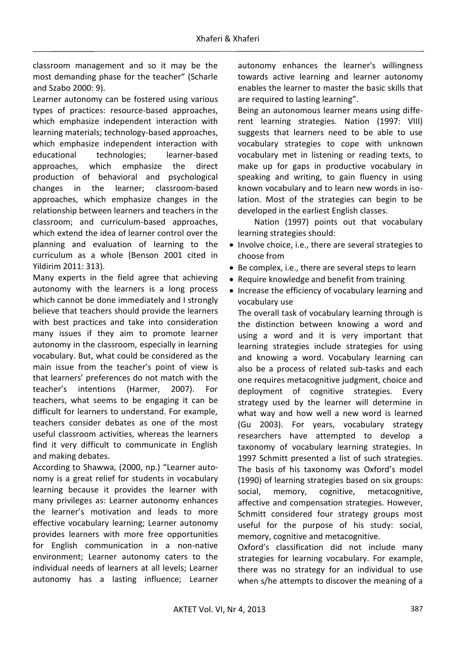classroom management and so it may be the most demanding phase for the teacher" (Scharle and Szabo 2000: 9).

Learner autonomy can be fostered using various types of practices: resource-based approaches, which emphasize independent interaction with learning materials; technology-based approaches, which emphasize independent interaction with educational technologies; learner-based approaches, which emphasize the direct production of behavioral and psychological changes in the learner; classroom-based approaches, which emphasize changes in the relationship between learners and teachers in the classroom; and curriculum-based approaches, which extend the idea of learner control over the planning and evaluation of learning to the curriculum as a whole (Benson 2001 cited in Yildirim 2011: 313).

Many experts in the field agree that achieving autonomy with the learners is a long process which cannot be done immediately and I strongly believe that teachers should provide the learners with best practices and take into consideration many issues if they aim to promote learner autonomy in the classroom, especially in learning vocabulary. But, what could be considered as the main issue from the teacher's point of view is that learners' preferences do not match with the teacher's intentions (Harmer, 2007). For teachers, what seems to be engaging it can be difficult for learners to understand. For example, teachers consider debates as one of the most useful classroom activities, whereas the learners find it very difficult to communicate in English and making debates.

According to Shawwa, (2000, np.) "Learner autonomy is a great relief for students in vocabulary learning because it provides the learner with many privileges as: Learner autonomy enhances the learner's motivation and leads to more effective vocabulary learning; Learner autonomy provides learners with more free opportunities for English communication in a non-native environment; Learner autonomy caters to the individual needs of learners at all levels; Learner autonomy has a lasting influence; Learner autonomy enhances the learner's willingness towards active learning and learner autonomy enables the learner to master the basic skills that are required to lasting learning".

Being an autonomous learner means using different learning strategies. Nation (1997: VIII) suggests that learners need to be able to use vocabulary strategies to cope with unknown vocabulary met in listening or reading texts, to make up for gaps in productive vocabulary in speaking and writing, to gain fluency in using known vocabulary and to learn new words in isolation. Most of the strategies can begin to be developed in the earliest English classes.

Nation (1997) points out that vocabulary learning strategies should:

- · Involve choice, i.e., there are several strategies to choose from
- Be complex, i.e., there are several steps to learn
- Require knowledge and benefit from training
- · Increase the efficiency of vocabulary learning and vocabulary use

The overall task of vocabulary learning through is the distinction between knowing a word and using a word and it is very important that learning strategies include strategies for using and knowing a word. Vocabulary learning can also be a process of related sub-tasks and each one requires metacognitive judgment, choice and deployment of cognitive strategies. Every strategy used by the learner will determine in what way and how well a new word is learned (Gu 2003). For years, vocabulary strategy researchers have attempted to develop a taxonomy of vocabulary learning strategies. In 1997 Schmitt presented a list of such strategies. The basis of his taxonomy was Oxford's model (1990) of learning strategies based on six groups: social, memory, cognitive, metacognitive, affective and compensation strategies. However, Schmitt considered four strategy groups most useful for the purpose of his study: social, memory, cognitive and metacognitive.

Oxford's classification did not include many strategies for learning vocabulary. For example, there was no strategy for an individual to use when s/he attempts to discover the meaning of a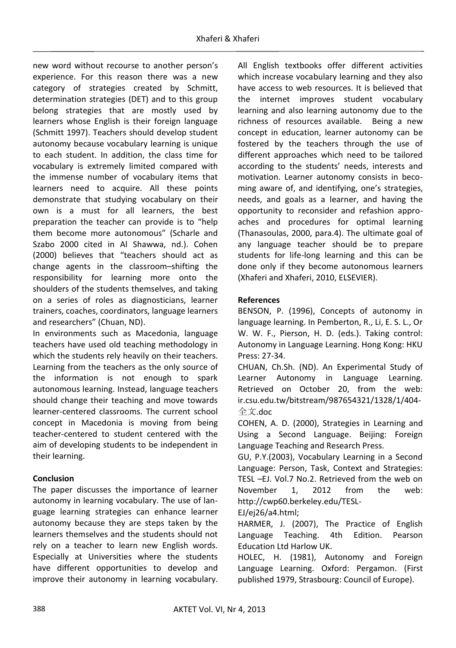new word without recourse to another person's experience. For this reason there was a new category of strategies created by Schmitt, determination strategies (DET) and to this group belong strategies that are mostly used by learners whose English is their foreign language (Schmitt 1997). Teachers should develop student autonomy because vocabulary learning is unique to each student. In addition, the class time for vocabulary is extremely limited compared with the immense number of vocabulary items that learners need to acquire. All these points demonstrate that studying vocabulary on their own is a must for all learners, the best preparation the teacher can provide is to "help them become more autonomous" (Scharle and Szabo 2000 cited in Al Shawwa, nd.). Cohen (2000) believes that "teachers should act as change agents in the classroom–shifting the responsibility for learning more onto the shoulders of the students themselves, and taking on a series of roles as diagnosticians, learner trainers, coaches, coordinators, language learners and researchers" (Chuan, ND).

In environments such as Macedonia, language teachers have used old teaching methodology in which the students rely heavily on their teachers. Learning from the teachers as the only source of the information is not enough to spark autonomous learning. Instead, language teachers should change their teaching and move towards learner-centered classrooms. The current school concept in Macedonia is moving from being teacher-centered to student centered with the aim of developing students to be independent in their learning.

# **Conclusion**

The paper discusses the importance of learner autonomy in learning vocabulary. The use of language learning strategies can enhance learner autonomy because they are steps taken by the learners themselves and the students should not rely on a teacher to learn new English words. Especially at Universities where the students have different opportunities to develop and improve their autonomy in learning vocabulary.

All English textbooks offer different activities which increase vocabulary learning and they also have access to web resources. It is believed that the internet improves student vocabulary learning and also learning autonomy due to the richness of resources available. Being a new concept in education, learner autonomy can be fostered by the teachers through the use of different approaches which need to be tailored according to the students' needs, interests and motivation. Learner autonomy consists in becoming aware of, and identifying, one's strategies, needs, and goals as a learner, and having the opportunity to reconsider and refashion approaches and procedures for optimal learning (Thanasoulas, 2000, para.4). The ultimate goal of any language teacher should be to prepare students for life-long learning and this can be done only if they become autonomous learners (Xhaferi and Xhaferi, 2010, ELSEVIER).

## **References**

BENSON, P. (1996), Concepts of autonomy in language learning. In Pemberton, R., Li, E. S. L., Or W. W. F., Pierson, H. D. (eds.). Taking control: Autonomy in Language Learning. Hong Kong: HKU Press: 27-34.

CHUAN, Ch.Sh. (ND). An Experimental Study of Learner Autonomy in Language Learning. Retrieved on October 20, from the web: ir.csu.edu.tw/bitstream/987654321/1328/1/404- ᩥ.doc

COHEN, A. D. (2000), Strategies in Learning and Using a Second Language. Beijing: Foreign Language Teaching and Research Press.

GU, P.Y.(2003), Vocabulary Learning in a Second Language: Person, Task, Context and Strategies: TESL –EJ. Vol.7 No.2. Retrieved from the web on November 1, 2012 from the web: http://cwp60.berkeley.edu/TESL-

## EJ/ej26/a4.html;

HARMER, J. (2007), The Practice of English Language Teaching. 4th Edition. Pearson Education Ltd Harlow UK.

HOLEC, H. (1981), Autonomy and Foreign Language Learning. Oxford: Pergamon. (First published 1979, Strasbourg: Council of Europe).